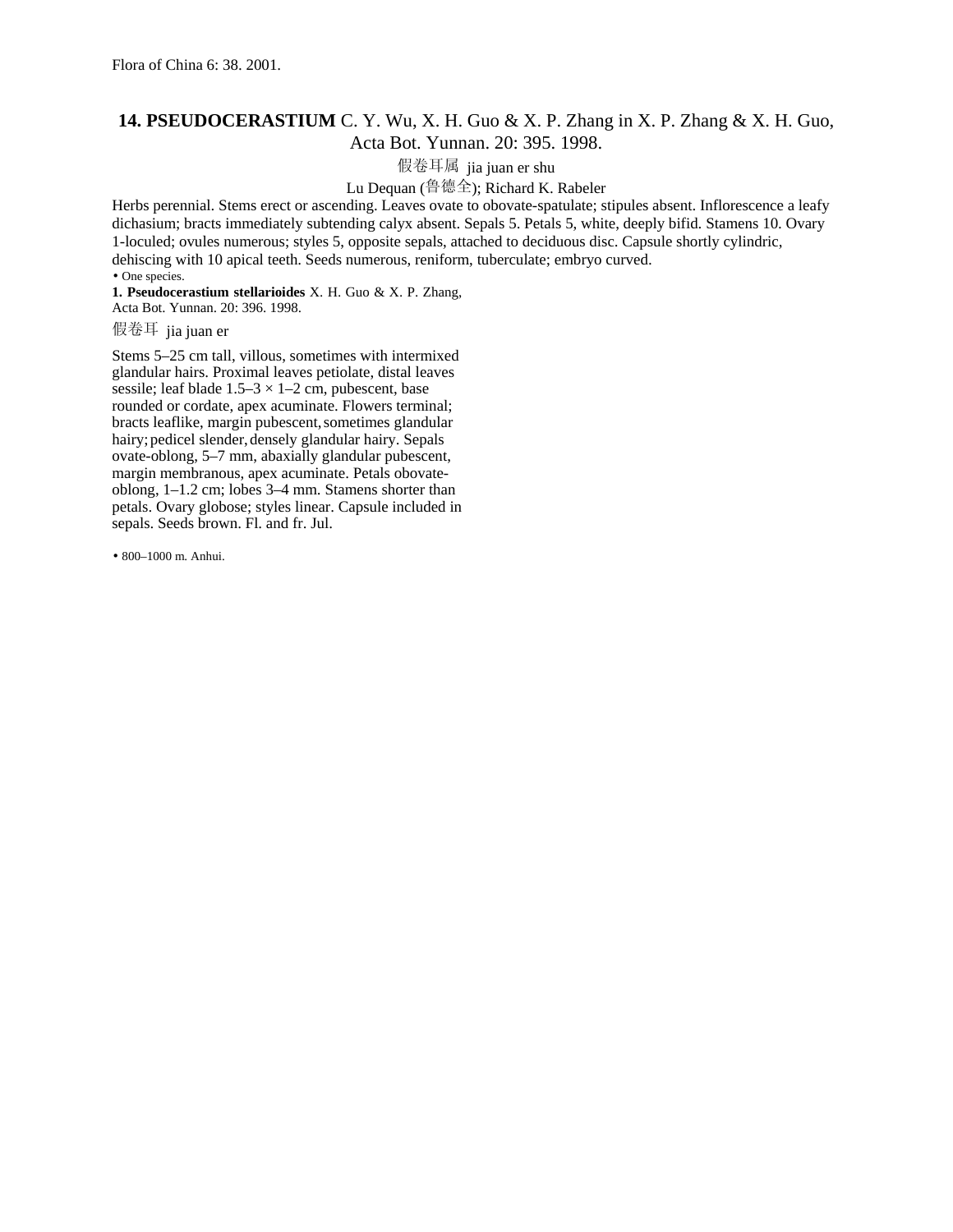## **14. PSEUDOCERASTIUM** C. Y. Wu, X. H. Guo & X. P. Zhang in X. P. Zhang & X. H. Guo, Acta Bot. Yunnan. 20: 395. 1998.

假卷耳属 jia juan er shu

Lu Dequan (鲁德全); Richard K. Rabeler

Herbs perennial. Stems erect or ascending. Leaves ovate to obovate-spatulate; stipules absent. Inflorescence a leafy dichasium; bracts immediately subtending calyx absent. Sepals 5. Petals 5, white, deeply bifid. Stamens 10. Ovary 1-loculed; ovules numerous; styles 5, opposite sepals, attached to deciduous disc. Capsule shortly cylindric, dehiscing with 10 apical teeth. Seeds numerous, reniform, tuberculate; embryo curved.

• One species.

**1. Pseudocerastium stellarioides** X. H. Guo & X. P. Zhang, Acta Bot. Yunnan. 20: 396. 1998.

假卷耳 jia juan er

Stems 5–25 cm tall, villous, sometimes with intermixed glandular hairs. Proximal leaves petiolate, distal leaves sessile; leaf blade  $1.5-3 \times 1-2$  cm, pubescent, base rounded or cordate, apex acuminate. Flowers terminal; bracts leaflike, margin pubescent, sometimes glandular hairy; pedicel slender, densely glandular hairy. Sepals ovate-oblong, 5–7 mm, abaxially glandular pubescent, margin membranous, apex acuminate. Petals obovateoblong, 1–1.2 cm; lobes 3–4 mm. Stamens shorter than petals. Ovary globose; styles linear. Capsule included in sepals. Seeds brown. Fl. and fr. Jul.

• 800–1000 m. Anhui.